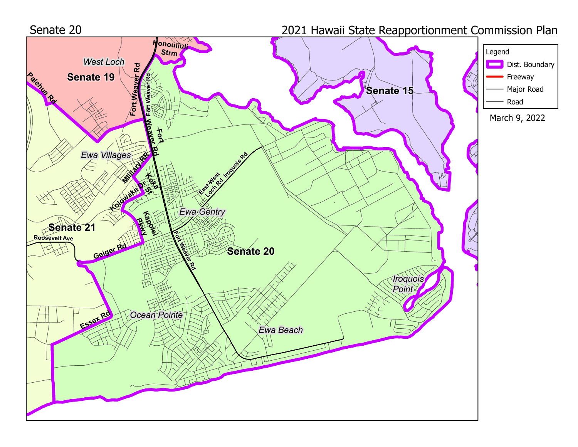